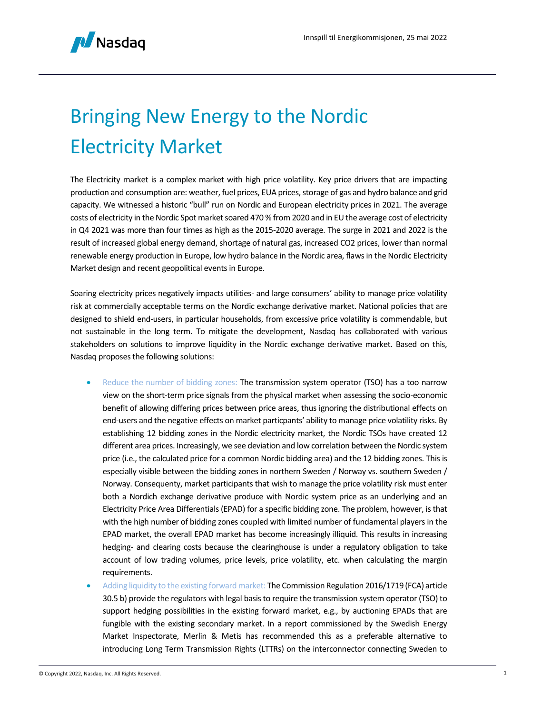

## Bringing New Energy to the Nordic Electricity Market

The Electricity market is a complex market with high price volatility. Key price drivers that are impacting production and consumption are: weather, fuel prices, EUA prices, storage of gas and hydro balance and grid capacity. We witnessed a historic "bull" run on Nordic and European electricity prices in 2021. The average costs of electricity in the Nordic Spot market soared 470 % from 2020 and in EU the average cost of electricity in Q4 2021 was more than four times as high as the 2015-2020 average. The surge in 2021 and 2022 is the result of increased global energy demand, shortage of natural gas, increased CO2 prices, lower than normal renewable energy production in Europe, low hydro balance in the Nordic area, flaws in the Nordic Electricity Market design and recent geopolitical events in Europe.

Soaring electricity prices negatively impacts utilities- and large consumers' ability to manage price volatility risk at commercially acceptable terms on the Nordic exchange derivative market. National policies that are designed to shield end-users, in particular households, from excessive price volatility is commendable, but not sustainable in the long term. To mitigate the development, Nasdaq has collaborated with various stakeholders on solutions to improve liquidity in the Nordic exchange derivative market. Based on this, Nasdaq proposes the following solutions:

- Reduce the number of bidding zones: The transmission system operator (TSO) has a too narrow view on the short-term price signals from the physical market when assessing the socio-economic benefit of allowing differing prices between price areas, thus ignoring the distributional effects on end-users and the negative effects on market particpants' ability to manage price volatility risks. By establishing 12 bidding zones in the Nordic electricity market, the Nordic TSOs have created 12 different area prices. Increasingly, we see deviation and low correlation between the Nordic system price (i.e., the calculated price for a common Nordic bidding area) and the 12 bidding zones. This is especially visible between the bidding zones in northern Sweden / Norway vs. southern Sweden / Norway. Consequenty, market participants that wish to manage the price volatility risk must enter both a Nordich exchange derivative produce with Nordic system price as an underlying and an Electricity Price Area Differentials (EPAD) for a specific bidding zone. The problem, however, is that with the high number of bidding zones coupled with limited number of fundamental players in the EPAD market, the overall EPAD market has become increasingly illiquid. This results in increasing hedging- and clearing costs because the clearinghouse is under a regulatory obligation to take account of low trading volumes, price levels, price volatility, etc. when calculating the margin requirements.
- Adding liquidity to the existing forward market: The Commission Regulation 2016/1719 (FCA) article 30.5 b) provide the regulators with legal basis to require the transmission system operator (TSO) to support hedging possibilities in the existing forward market, e.g., by auctioning EPADs that are fungible with the existing secondary market. In a report commissioned by the Swedish Energy Market Inspectorate, Merlin & Metis has recommended this as a preferable alternative to introducing Long Term Transmission Rights (LTTRs) on the interconnector connecting Sweden to